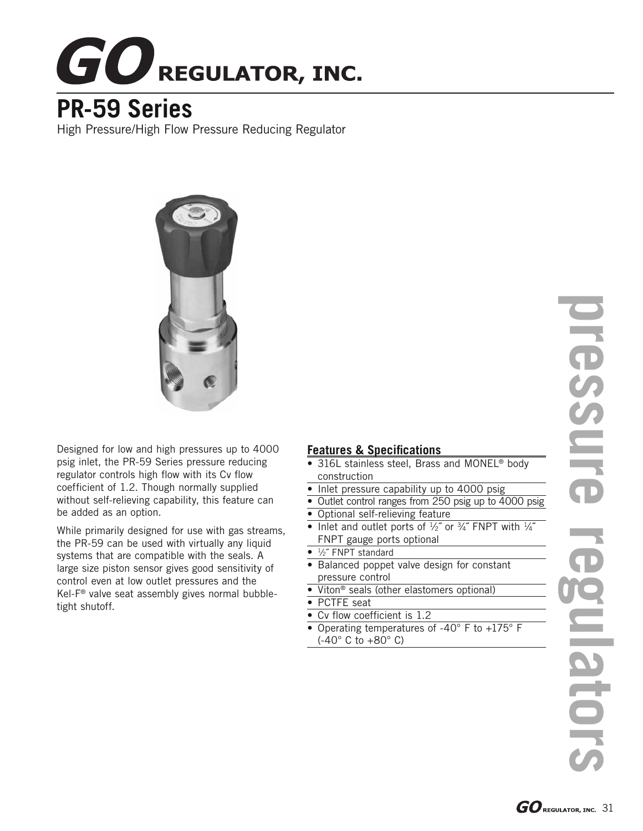

## **PR-59 Series**

High Pressure/High Flow Pressure Reducing Regulator



Designed for low and high pressures up to 4000 psig inlet, the PR-59 Series pressure reducing regulator controls high flow with its Cv flow coefficient of 1.2. Though normally supplied without self-relieving capability, this feature can be added as an option.

While primarily designed for use with gas streams, the PR-59 can be used with virtually any liquid systems that are compatible with the seals. A large size piston sensor gives good sensitivity of control even at low outlet pressures and the Kel-F® valve seat assembly gives normal bubbletight shutoff.

## **Features & Specifications**

- 316L stainless steel, Brass and MONEL® body construction
- Inlet pressure capability up to 4000 psig
- Outlet control ranges from 250 psig up to 4000 psig
- Optional self-relieving feature
- Inlet and outlet ports of  $\frac{1}{2}$ " or  $\frac{3}{4}$ " FNPT with  $\frac{1}{4}$ " FNPT gauge ports optional
- 1/2" FNPT standard
- Balanced poppet valve design for constant pressure control
- Viton<sup>®</sup> seals (other elastomers optional)
- PCTFE seat
- Cv flow coefficient is 1.2
- Operating temperatures of -40 $\degree$  F to +175 $\degree$  F (-40° C to +80° C)

**pressure regulators** IFESSUFE **DIBIN**